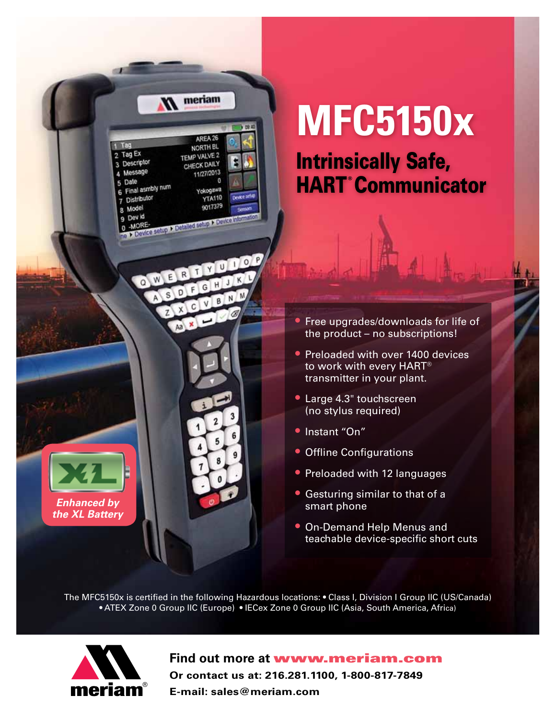

## **MFC5150x**

Intrinsically Safe, **HART**<sup>®</sup>Communicator

- Free upgrades/downloads for life of the product – no subscriptions!
- Preloaded with over 1400 devices to work with every HART® transmitter in your plant.
- Large 4.3" touchscreen (no stylus required)
- Instant "On"
- Offline Configurations
- Preloaded with 12 languages
- Gesturing similar to that of a smart phone
- On-Demand Help Menus and teachable device-specific short cuts

The MFC5150x is certified in the following Hazardous locations: • Class I, Division I Group IIC (US/Canada) • ATEX Zone 0 Group IIC (Europe) • IECex Zone 0 Group IIC (Asia, South America, Africa)



**Find out more at** www.meriam.com **Or contact us at: 216.281.1100, 1-800-817-7849 E-mail: sales@meriam.com**